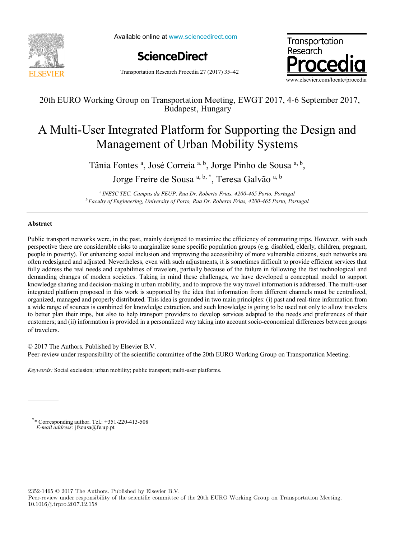

Available online at www.sciencedirect.com

**ScienceDirect**



Transportation Research Procedia 27 (2017) 35–42

### 20th EURO Working Group on Transportation Meeting, EWGT 2017, 4-6 September 2017, Budapest, Hungary

# A Multi-User Integrated Platform for Supporting the Design and Management of Urban Mobility Systems

Tânia Fontes <sup>a</sup>, José Correia <sup>a, b</sup>, Jorge Pinho de Sousa <sup>a, b</sup>,

Jorge Freire de Sousa a, b, \*, Teresa Galvão a, b

*a INESC TEC, Campus da FEUP, Rua Dr. Roberto Frias, 4200-465 Porto, Portugal b Faculty of Engineering, University of Porto, Rua Dr. Roberto Frias, 4200-465 Porto, Portugal*

#### **Abstract**

Public transport networks were, in the past, mainly designed to maximize the efficiency of commuting trips. However, with such perspective there are considerable risks to marginalize some specific population groups (e.g. disabled, elderly, children, pregnant, people in poverty). For enhancing social inclusion and improving the accessibility of more vulnerable citizens, such networks are often redesigned and adjusted. Nevertheless, even with such adjustments, it is sometimes difficult to provide efficient services that fully address the real needs and capabilities of travelers, partially because of the failure in following the fast technological and demanding changes of modern societies. Taking in mind these challenges, we have developed a conceptual model to support knowledge sharing and decision-making in urban mobility, and to improve the way travel information is addressed. The multi-user integrated platform proposed in this work is supported by the idea that information from different channels must be centralized, organized, managed and properly distributed. This idea is grounded in two main principles: (i) past and real-time information from a wide range of sources is combined for knowledge extraction, and such knowledge is going to be used not only to allow travelers to better plan their trips, but also to help transport providers to develop services adapted to the needs and preferences of their customers; and (ii) information is provided in a personalized way taking into account socio-economical differences between groups of travelers.

© 2017 The Authors. Published by Elsevier B.V. Peer-review under responsibility of the scientific committee of the 20th EURO Working Group on Transportation Meeting.

*Keywords:* Social exclusion; urban mobility; public transport; multi-user platforms.

\* \* Corresponding author. Tel.: +351-220-413-508 *E-mail address:* jfsousa@fe.up.pt

2352-1465 © 2017 The Authors. Published by Elsevier B.V.

Peer-review under responsibility of the scientific committee of the 20th EURO Working Group on Transportation Meeting. 10.1016/j.trpro.2017.12.158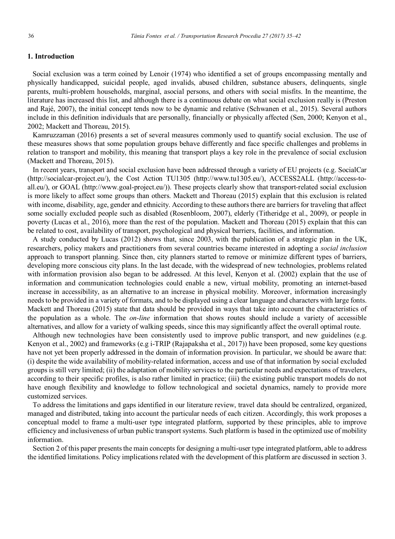#### **1. Introduction**

Social exclusion was a term coined by Lenoir (1974) who identified a set of groups encompassing mentally and physically handicapped, suicidal people, aged invalids, abused children, substance abusers, delinquents, single parents, multi-problem households, marginal, asocial persons, and others with social misfits. In the meantime, the literature has increased this list, and although there is a continuous debate on what social exclusion really is (Preston and Rajé, 2007), the initial concept tends now to be dynamic and relative (Schwanen et al., 2015). Several authors include in this definition individuals that are personally, financially or physically affected (Sen, 2000; Kenyon et al., 2002; Mackett and Thoreau, 2015).

Kamruzzaman (2016) presents a set of several measures commonly used to quantify social exclusion. The use of these measures shows that some population groups behave differently and face specific challenges and problems in relation to transport and mobility, this meaning that transport plays a key role in the prevalence of social exclusion (Mackett and Thoreau, 2015).

In recent years, transport and social exclusion have been addressed through a variety of EU projects (e.g. SocialCar (http://socialcar-project.eu/), the Cost Action TU1305 (http://www.tu1305.eu/), ACCESS2ALL (http://access-toall.eu/), or GOAL (http://www.goal-project.eu/)). These projects clearly show that transport-related social exclusion is more likely to affect some groups than others. Mackett and Thoreau (2015) explain that this exclusion is related with income, disability, age, gender and ethnicity. According to these authors there are barriers for traveling that affect some socially excluded people such as disabled (Rosenbloom, 2007), elderly (Titheridge et al., 2009), or people in poverty (Lucas et al., 2016), more than the rest of the population. Mackett and Thoreau (2015) explain that this can be related to cost, availability of transport, psychological and physical barriers, facilities, and information.

A study conducted by Lucas (2012) shows that, since 2003, with the publication of a strategic plan in the UK, researchers, policy makers and practitioners from several countries became interested in adopting a *social inclusion* approach to transport planning. Since then, city planners started to remove or minimize different types of barriers, developing more conscious city plans. In the last decade, with the widespread of new technologies, problems related with information provision also began to be addressed. At this level, Kenyon et al. (2002) explain that the use of information and communication technologies could enable a new, virtual mobility, promoting an internet-based increase in accessibility, as an alternative to an increase in physical mobility. Moreover, information increasingly needs to be provided in a variety of formats, and to be displayed using a clear language and characters with large fonts. Mackett and Thoreau (2015) state that data should be provided in ways that take into account the characteristics of the population as a whole. The *on-line* information that shows routes should include a variety of accessible alternatives, and allow for a variety of walking speeds, since this may significantly affect the overall optimal route.

Although new technologies have been consistently used to improve public transport, and new guidelines (e.g. Kenyon et al., 2002) and frameworks (e.g i-TRIP (Rajapaksha et al., 2017)) have been proposed, some key questions have not yet been properly addressed in the domain of information provision. In particular, we should be aware that: (i) despite the wide availability of mobility-related information, access and use of that information by social excluded groups is still very limited; (ii) the adaptation of mobility services to the particular needs and expectations of travelers, according to their specific profiles, is also rather limited in practice; (iii) the existing public transport models do not have enough flexibility and knowledge to follow technological and societal dynamics, namely to provide more customized services.

To address the limitations and gaps identified in our literature review, travel data should be centralized, organized, managed and distributed, taking into account the particular needs of each citizen. Accordingly, this work proposes a conceptual model to frame a multi-user type integrated platform, supported by these principles, able to improve efficiency and inclusiveness of urban public transport systems. Such platform is based in the optimized use of mobility information.

Section 2 of this paper presents the main concepts for designing a multi-user type integrated platform, able to address the identified limitations. Policy implications related with the development of this platform are discussed in section 3.